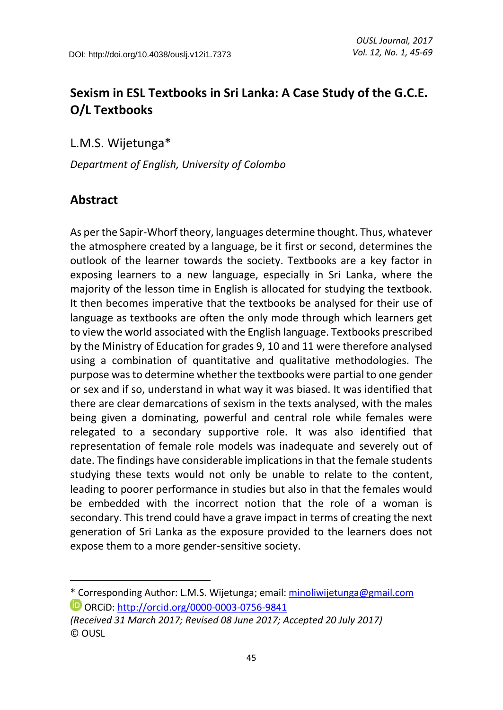# **Sexism in ESL Textbooks in Sri Lanka: A Case Study of the G.C.E. O/L Textbooks**

L.M.S. Wijetunga\* 1

*Department of English, University of Colombo*

## **Abstract**

 $\overline{a}$ 

As per the Sapir-Whorf theory, languages determine thought. Thus, whatever the atmosphere created by a language, be it first or second, determines the outlook of the learner towards the society. Textbooks are a key factor in exposing learners to a new language, especially in Sri Lanka, where the majority of the lesson time in English is allocated for studying the textbook. It then becomes imperative that the textbooks be analysed for their use of language as textbooks are often the only mode through which learners get to view the world associated with the English language. Textbooks prescribed by the Ministry of Education for grades 9, 10 and 11 were therefore analysed using a combination of quantitative and qualitative methodologies. The purpose was to determine whether the textbooks were partial to one gender or sex and if so, understand in what way it was biased. It was identified that there are clear demarcations of sexism in the texts analysed, with the males being given a dominating, powerful and central role while females were relegated to a secondary supportive role. It was also identified that representation of female role models was inadequate and severely out of date. The findings have considerable implications in that the female students studying these texts would not only be unable to relate to the content, leading to poorer performance in studies but also in that the females would be embedded with the incorrect notion that the role of a woman is secondary. This trend could have a grave impact in terms of creating the next generation of Sri Lanka as the exposure provided to the learners does not expose them to a more gender-sensitive society.

<sup>\*</sup> Corresponding Author: L.M.S. Wijetunga; email: [minoliwijetunga@gmail.com](mailto:minoliwijetunga@gmail.com) ORCiD:<http://orcid.org/0000-0003-0756-9841>

*<sup>(</sup>Received 31 March 2017; Revised 08 June 2017; Accepted 20 July 2017)* © OUSL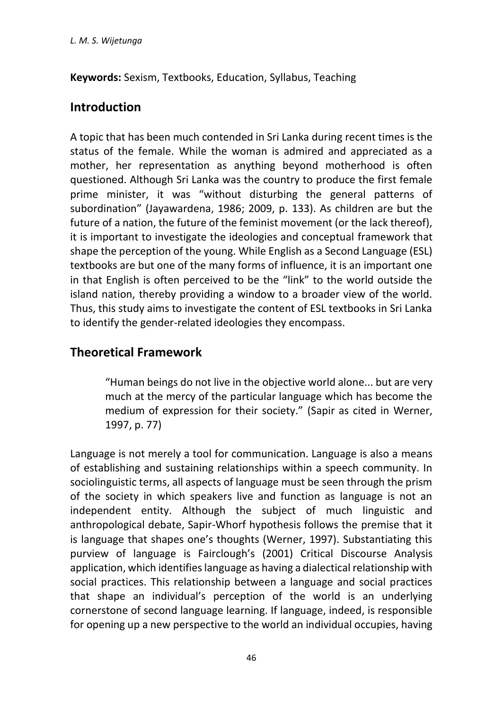**Keywords:** Sexism, Textbooks, Education, Syllabus, Teaching

## **Introduction**

A topic that has been much contended in Sri Lanka during recent times is the status of the female. While the woman is admired and appreciated as a mother, her representation as anything beyond motherhood is often questioned. Although Sri Lanka was the country to produce the first female prime minister, it was "without disturbing the general patterns of subordination" (Jayawardena, 1986; 2009, p. 133). As children are but the future of a nation, the future of the feminist movement (or the lack thereof), it is important to investigate the ideologies and conceptual framework that shape the perception of the young. While English as a Second Language (ESL) textbooks are but one of the many forms of influence, it is an important one in that English is often perceived to be the "link" to the world outside the island nation, thereby providing a window to a broader view of the world. Thus, this study aims to investigate the content of ESL textbooks in Sri Lanka to identify the gender-related ideologies they encompass.

# **Theoretical Framework**

"Human beings do not live in the objective world alone... but are very much at the mercy of the particular language which has become the medium of expression for their society." (Sapir as cited in Werner, 1997, p. 77)

Language is not merely a tool for communication. Language is also a means of establishing and sustaining relationships within a speech community. In sociolinguistic terms, all aspects of language must be seen through the prism of the society in which speakers live and function as language is not an independent entity. Although the subject of much linguistic and anthropological debate, Sapir-Whorf hypothesis follows the premise that it is language that shapes one's thoughts (Werner, 1997). Substantiating this purview of language is Fairclough's (2001) Critical Discourse Analysis application, which identifies language as having a dialectical relationship with social practices. This relationship between a language and social practices that shape an individual's perception of the world is an underlying cornerstone of second language learning. If language, indeed, is responsible for opening up a new perspective to the world an individual occupies, having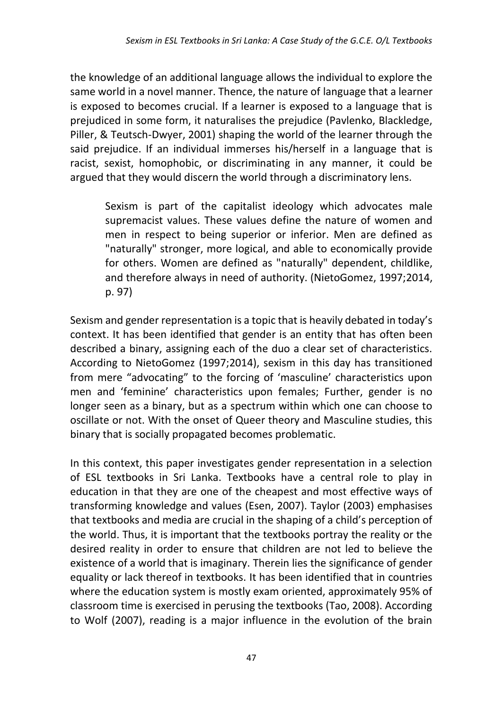the knowledge of an additional language allows the individual to explore the same world in a novel manner. Thence, the nature of language that a learner is exposed to becomes crucial. If a learner is exposed to a language that is prejudiced in some form, it naturalises the prejudice (Pavlenko, Blackledge, Piller, & Teutsch-Dwyer, 2001) shaping the world of the learner through the said prejudice. If an individual immerses his/herself in a language that is racist, sexist, homophobic, or discriminating in any manner, it could be argued that they would discern the world through a discriminatory lens.

Sexism is part of the capitalist ideology which advocates male supremacist values. These values define the nature of women and men in respect to being superior or inferior. Men are defined as "naturally" stronger, more logical, and able to economically provide for others. Women are defined as "naturally" dependent, childlike, and therefore always in need of authority. (NietoGomez, 1997;2014, p. 97)

Sexism and gender representation is a topic that is heavily debated in today's context. It has been identified that gender is an entity that has often been described a binary, assigning each of the duo a clear set of characteristics. According to NietoGomez (1997;2014), sexism in this day has transitioned from mere "advocating" to the forcing of 'masculine' characteristics upon men and 'feminine' characteristics upon females; Further, gender is no longer seen as a binary, but as a spectrum within which one can choose to oscillate or not. With the onset of Queer theory and Masculine studies, this binary that is socially propagated becomes problematic.

In this context, this paper investigates gender representation in a selection of ESL textbooks in Sri Lanka. Textbooks have a central role to play in education in that they are one of the cheapest and most effective ways of transforming knowledge and values (Esen, 2007). Taylor (2003) emphasises that textbooks and media are crucial in the shaping of a child's perception of the world. Thus, it is important that the textbooks portray the reality or the desired reality in order to ensure that children are not led to believe the existence of a world that is imaginary. Therein lies the significance of gender equality or lack thereof in textbooks. It has been identified that in countries where the education system is mostly exam oriented, approximately 95% of classroom time is exercised in perusing the textbooks (Tao, 2008). According to Wolf (2007), reading is a major influence in the evolution of the brain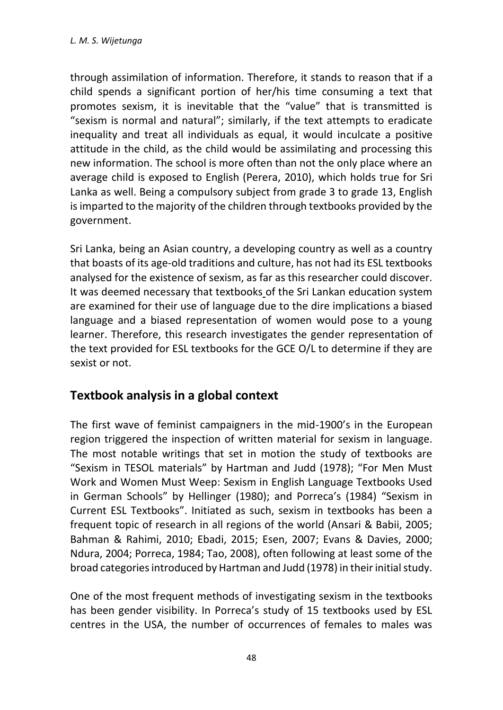through assimilation of information. Therefore, it stands to reason that if a child spends a significant portion of her/his time consuming a text that promotes sexism, it is inevitable that the "value" that is transmitted is "sexism is normal and natural"; similarly, if the text attempts to eradicate inequality and treat all individuals as equal, it would inculcate a positive attitude in the child, as the child would be assimilating and processing this new information. The school is more often than not the only place where an average child is exposed to English (Perera, 2010), which holds true for Sri Lanka as well. Being a compulsory subject from grade 3 to grade 13, English is imparted to the majority of the children through textbooks provided by the government.

Sri Lanka, being an Asian country, a developing country as well as a country that boasts of its age-old traditions and culture, has not had its ESL textbooks analysed for the existence of sexism, as far as this researcher could discover. It was deemed necessary that textbooks of the Sri Lankan education system are examined for their use of language due to the dire implications a biased language and a biased representation of women would pose to a young learner. Therefore, this research investigates the gender representation of the text provided for ESL textbooks for the GCE O/L to determine if they are sexist or not.

## **Textbook analysis in a global context**

The first wave of feminist campaigners in the mid-1900's in the European region triggered the inspection of written material for sexism in language. The most notable writings that set in motion the study of textbooks are "Sexism in TESOL materials" by Hartman and Judd (1978); "For Men Must Work and Women Must Weep: Sexism in English Language Textbooks Used in German Schools" by Hellinger (1980); and Porreca's (1984) "Sexism in Current ESL Textbooks". Initiated as such, sexism in textbooks has been a frequent topic of research in all regions of the world (Ansari & Babii, 2005; Bahman & Rahimi, 2010; Ebadi, 2015; Esen, 2007; Evans & Davies, 2000; Ndura, 2004; Porreca, 1984; Tao, 2008), often following at least some of the broad categories introduced by Hartman and Judd (1978) in their initial study.

One of the most frequent methods of investigating sexism in the textbooks has been gender visibility. In Porreca's study of 15 textbooks used by ESL centres in the USA, the number of occurrences of females to males was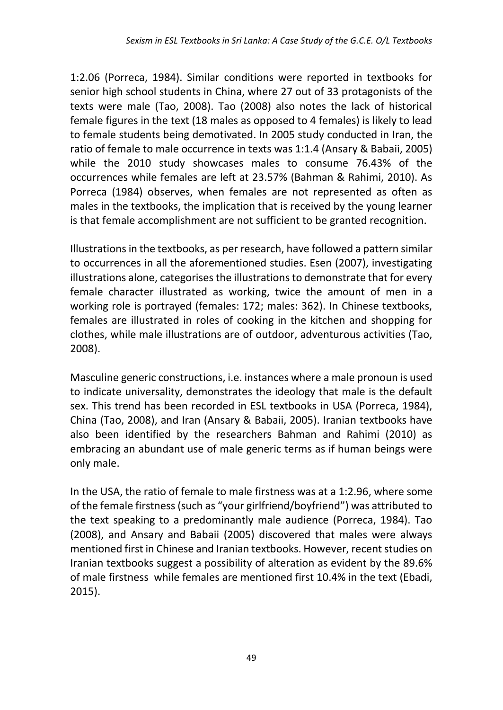1:2.06 (Porreca, 1984). Similar conditions were reported in textbooks for senior high school students in China, where 27 out of 33 protagonists of the texts were male (Tao, 2008). Tao (2008) also notes the lack of historical female figures in the text (18 males as opposed to 4 females) is likely to lead to female students being demotivated. In 2005 study conducted in Iran, the ratio of female to male occurrence in texts was 1:1.4 (Ansary & Babaii, 2005) while the 2010 study showcases males to consume 76.43% of the occurrences while females are left at 23.57% (Bahman & Rahimi, 2010). As Porreca (1984) observes, when females are not represented as often as males in the textbooks, the implication that is received by the young learner is that female accomplishment are not sufficient to be granted recognition.

Illustrations in the textbooks, as per research, have followed a pattern similar to occurrences in all the aforementioned studies. Esen (2007), investigating illustrations alone, categorises the illustrations to demonstrate that for every female character illustrated as working, twice the amount of men in a working role is portrayed (females: 172; males: 362). In Chinese textbooks, females are illustrated in roles of cooking in the kitchen and shopping for clothes, while male illustrations are of outdoor, adventurous activities (Tao, 2008).

Masculine generic constructions, i.e. instances where a male pronoun is used to indicate universality, demonstrates the ideology that male is the default sex. This trend has been recorded in ESL textbooks in USA (Porreca, 1984), China (Tao, 2008), and Iran (Ansary & Babaii, 2005). Iranian textbooks have also been identified by the researchers Bahman and Rahimi (2010) as embracing an abundant use of male generic terms as if human beings were only male.

In the USA, the ratio of female to male firstness was at a 1:2.96, where some of the female firstness (such as "your girlfriend/boyfriend") was attributed to the text speaking to a predominantly male audience (Porreca, 1984). Tao (2008), and Ansary and Babaii (2005) discovered that males were always mentioned first in Chinese and Iranian textbooks. However, recent studies on Iranian textbooks suggest a possibility of alteration as evident by the 89.6% of male firstness while females are mentioned first 10.4% in the text (Ebadi, 2015).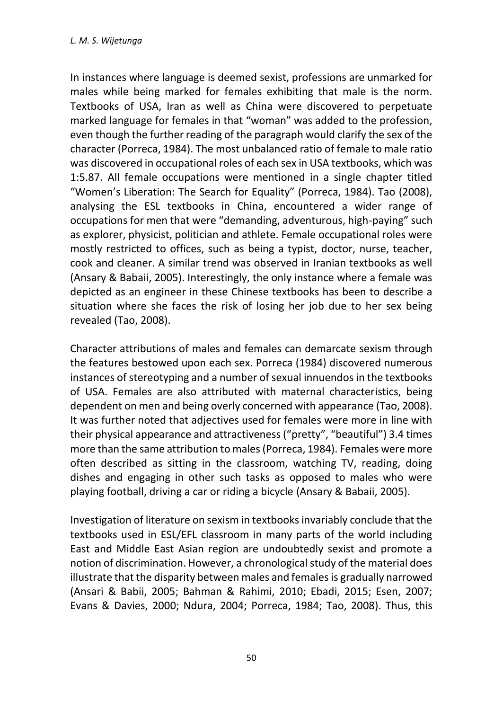In instances where language is deemed sexist, professions are unmarked for males while being marked for females exhibiting that male is the norm. Textbooks of USA, Iran as well as China were discovered to perpetuate marked language for females in that "woman" was added to the profession, even though the further reading of the paragraph would clarify the sex of the character (Porreca, 1984). The most unbalanced ratio of female to male ratio was discovered in occupational roles of each sex in USA textbooks, which was 1:5.87. All female occupations were mentioned in a single chapter titled "Women's Liberation: The Search for Equality" (Porreca, 1984). Tao (2008), analysing the ESL textbooks in China, encountered a wider range of occupations for men that were "demanding, adventurous, high-paying" such as explorer, physicist, politician and athlete. Female occupational roles were mostly restricted to offices, such as being a typist, doctor, nurse, teacher, cook and cleaner. A similar trend was observed in Iranian textbooks as well (Ansary & Babaii, 2005). Interestingly, the only instance where a female was depicted as an engineer in these Chinese textbooks has been to describe a situation where she faces the risk of losing her job due to her sex being revealed (Tao, 2008).

Character attributions of males and females can demarcate sexism through the features bestowed upon each sex. Porreca (1984) discovered numerous instances of stereotyping and a number of sexual innuendos in the textbooks of USA. Females are also attributed with maternal characteristics, being dependent on men and being overly concerned with appearance (Tao, 2008). It was further noted that adjectives used for females were more in line with their physical appearance and attractiveness ("pretty", "beautiful") 3.4 times more than the same attribution to males (Porreca, 1984). Females were more often described as sitting in the classroom, watching TV, reading, doing dishes and engaging in other such tasks as opposed to males who were playing football, driving a car or riding a bicycle (Ansary & Babaii, 2005).

Investigation of literature on sexism in textbooks invariably conclude that the textbooks used in ESL/EFL classroom in many parts of the world including East and Middle East Asian region are undoubtedly sexist and promote a notion of discrimination. However, a chronological study of the material does illustrate that the disparity between males and females is gradually narrowed (Ansari & Babii, 2005; Bahman & Rahimi, 2010; Ebadi, 2015; Esen, 2007; Evans & Davies, 2000; Ndura, 2004; Porreca, 1984; Tao, 2008). Thus, this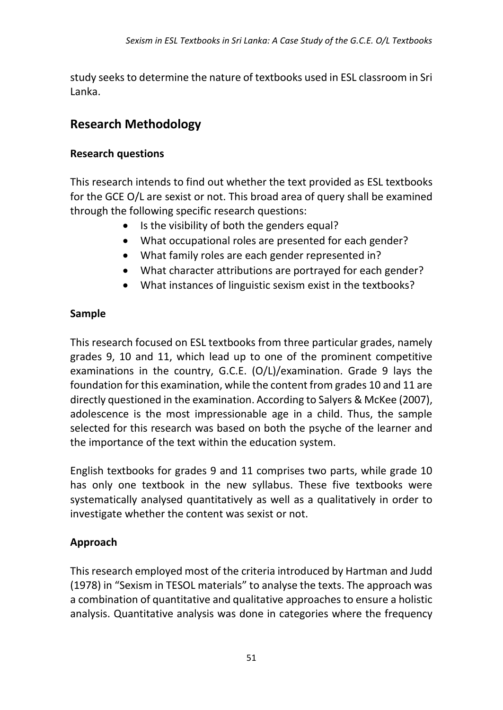study seeks to determine the nature of textbooks used in ESL classroom in Sri Lanka.

## **Research Methodology**

#### **Research questions**

This research intends to find out whether the text provided as ESL textbooks for the GCE O/L are sexist or not. This broad area of query shall be examined through the following specific research questions:

- Is the visibility of both the genders equal?
- What occupational roles are presented for each gender?
- What family roles are each gender represented in?
- What character attributions are portrayed for each gender?
- What instances of linguistic sexism exist in the textbooks?

#### **Sample**

This research focused on ESL textbooks from three particular grades, namely grades 9, 10 and 11, which lead up to one of the prominent competitive examinations in the country, G.C.E. (O/L)/examination. Grade 9 lays the foundation for this examination, while the content from grades 10 and 11 are directly questioned in the examination. According to Salyers & McKee (2007), adolescence is the most impressionable age in a child. Thus, the sample selected for this research was based on both the psyche of the learner and the importance of the text within the education system.

English textbooks for grades 9 and 11 comprises two parts, while grade 10 has only one textbook in the new syllabus. These five textbooks were systematically analysed quantitatively as well as a qualitatively in order to investigate whether the content was sexist or not.

### **Approach**

This research employed most of the criteria introduced by Hartman and Judd (1978) in "Sexism in TESOL materials" to analyse the texts. The approach was a combination of quantitative and qualitative approaches to ensure a holistic analysis. Quantitative analysis was done in categories where the frequency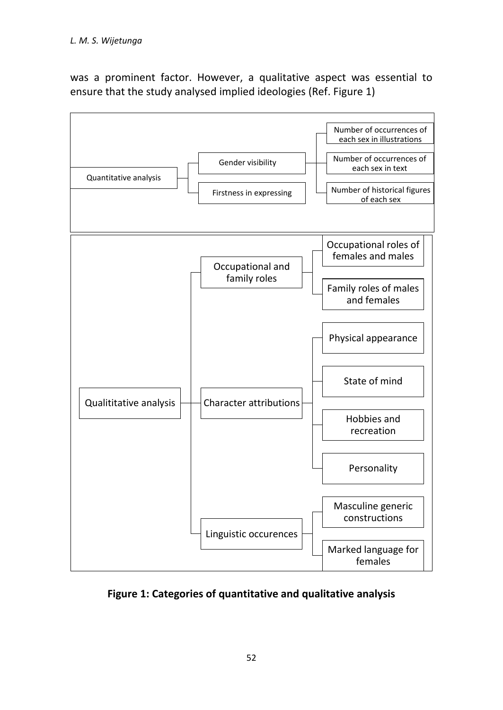was a prominent factor. However, a qualitative aspect was essential to ensure that the study analysed implied ideologies (Ref. Figure 1)



**Figure 1: Categories of quantitative and qualitative analysis**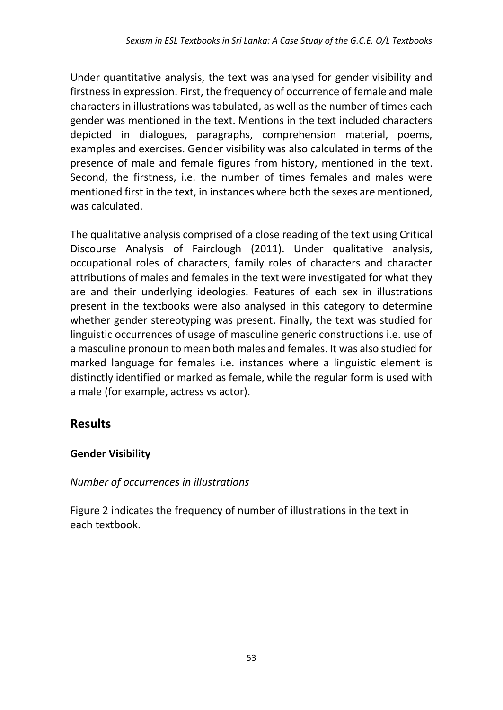Under quantitative analysis, the text was analysed for gender visibility and firstness in expression. First, the frequency of occurrence of female and male characters in illustrations was tabulated, as well as the number of times each gender was mentioned in the text. Mentions in the text included characters depicted in dialogues, paragraphs, comprehension material, poems, examples and exercises. Gender visibility was also calculated in terms of the presence of male and female figures from history, mentioned in the text. Second, the firstness, i.e. the number of times females and males were mentioned first in the text, in instances where both the sexes are mentioned, was calculated.

The qualitative analysis comprised of a close reading of the text using Critical Discourse Analysis of Fairclough (2011). Under qualitative analysis, occupational roles of characters, family roles of characters and character attributions of males and females in the text were investigated for what they are and their underlying ideologies. Features of each sex in illustrations present in the textbooks were also analysed in this category to determine whether gender stereotyping was present. Finally, the text was studied for linguistic occurrences of usage of masculine generic constructions i.e. use of a masculine pronoun to mean both males and females. It was also studied for marked language for females i.e. instances where a linguistic element is distinctly identified or marked as female, while the regular form is used with a male (for example, actress vs actor).

## **Results**

### **Gender Visibility**

### *Number of occurrences in illustrations*

Figure 2 indicates the frequency of number of illustrations in the text in each textbook.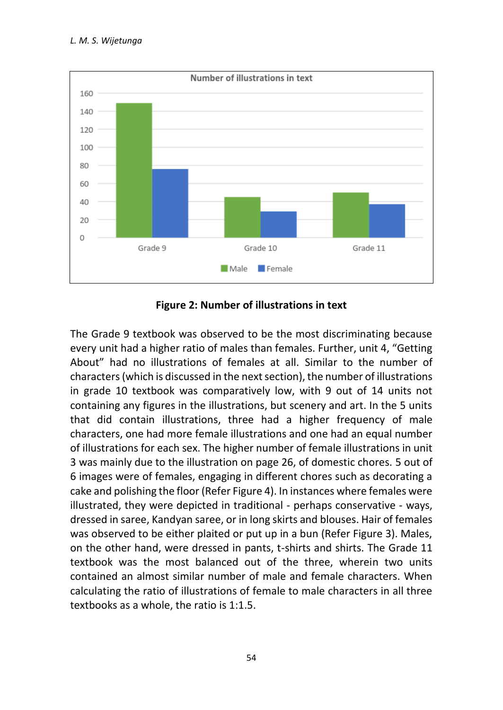

**Figure 2: Number of illustrations in text**

The Grade 9 textbook was observed to be the most discriminating because every unit had a higher ratio of males than females. Further, unit 4, "Getting About" had no illustrations of females at all. Similar to the number of characters(which is discussed in the next section), the number of illustrations in grade 10 textbook was comparatively low, with 9 out of 14 units not containing any figures in the illustrations, but scenery and art. In the 5 units that did contain illustrations, three had a higher frequency of male characters, one had more female illustrations and one had an equal number of illustrations for each sex. The higher number of female illustrations in unit 3 was mainly due to the illustration on page 26, of domestic chores. 5 out of 6 images were of females, engaging in different chores such as decorating a cake and polishing the floor (Refer Figure 4). In instances where females were illustrated, they were depicted in traditional - perhaps conservative - ways, dressed in saree, Kandyan saree, or in long skirts and blouses. Hair of females was observed to be either plaited or put up in a bun (Refer Figure 3). Males, on the other hand, were dressed in pants, t-shirts and shirts. The Grade 11 textbook was the most balanced out of the three, wherein two units contained an almost similar number of male and female characters. When calculating the ratio of illustrations of female to male characters in all three textbooks as a whole, the ratio is 1:1.5.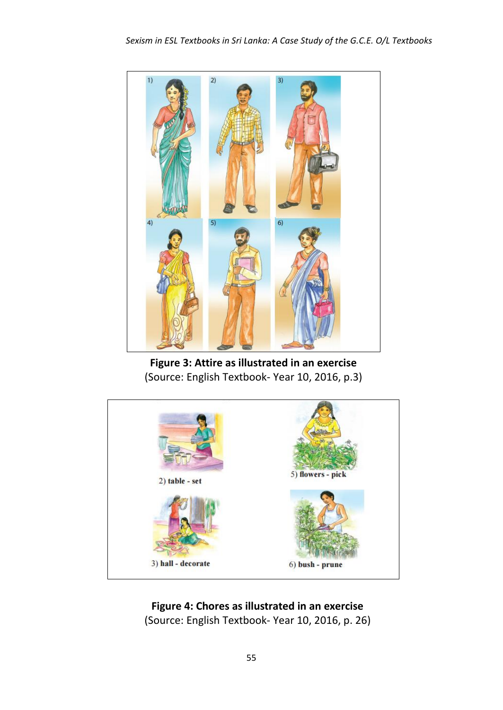

Figure 3: Attire as illustrated in an exercise (Source: English Textbook- Year 10, 2016, p.3)



#### **Figure 4: Chores as illustrated in an exercise**

(Source: English Textbook- Year 10, 2016, p. 26)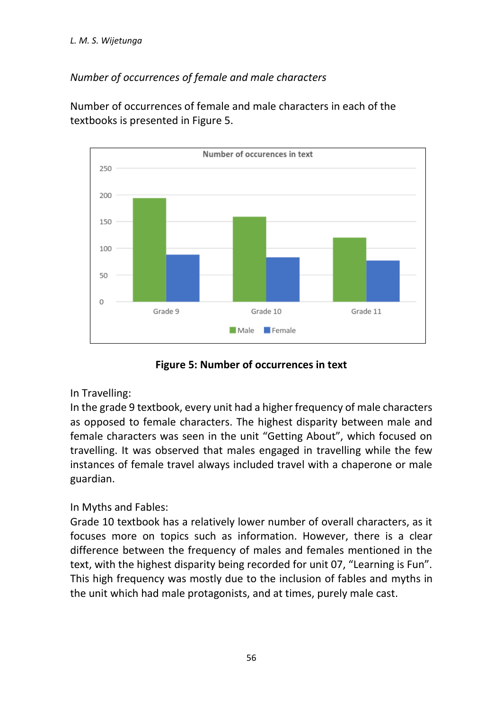### *Number of occurrences of female and male characters*

Number of occurrences of female and male characters in each of the textbooks is presented in Figure 5.



**Figure 5: Number of occurrences in text**

#### In Travelling:

In the grade 9 textbook, every unit had a higher frequency of male characters as opposed to female characters. The highest disparity between male and female characters was seen in the unit "Getting About", which focused on travelling. It was observed that males engaged in travelling while the few instances of female travel always included travel with a chaperone or male guardian.

### In Myths and Fables:

Grade 10 textbook has a relatively lower number of overall characters, as it focuses more on topics such as information. However, there is a clear difference between the frequency of males and females mentioned in the text, with the highest disparity being recorded for unit 07, "Learning is Fun". This high frequency was mostly due to the inclusion of fables and myths in the unit which had male protagonists, and at times, purely male cast.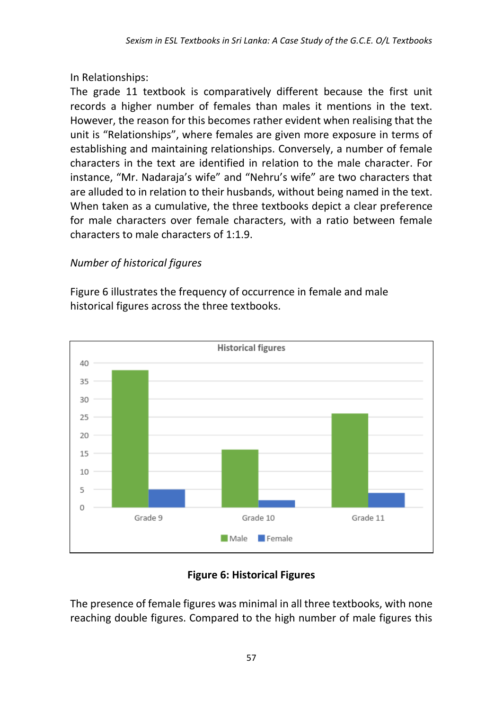In Relationships:

The grade 11 textbook is comparatively different because the first unit records a higher number of females than males it mentions in the text. However, the reason for this becomes rather evident when realising that the unit is "Relationships", where females are given more exposure in terms of establishing and maintaining relationships. Conversely, a number of female characters in the text are identified in relation to the male character. For instance, "Mr. Nadaraja's wife" and "Nehru's wife" are two characters that are alluded to in relation to their husbands, without being named in the text. When taken as a cumulative, the three textbooks depict a clear preference for male characters over female characters, with a ratio between female characters to male characters of 1:1.9.

# *Number of historical figures*

Figure 6 illustrates the frequency of occurrence in female and male historical figures across the three textbooks.



# **Figure 6: Historical Figures**

The presence of female figures was minimal in all three textbooks, with none reaching double figures. Compared to the high number of male figures this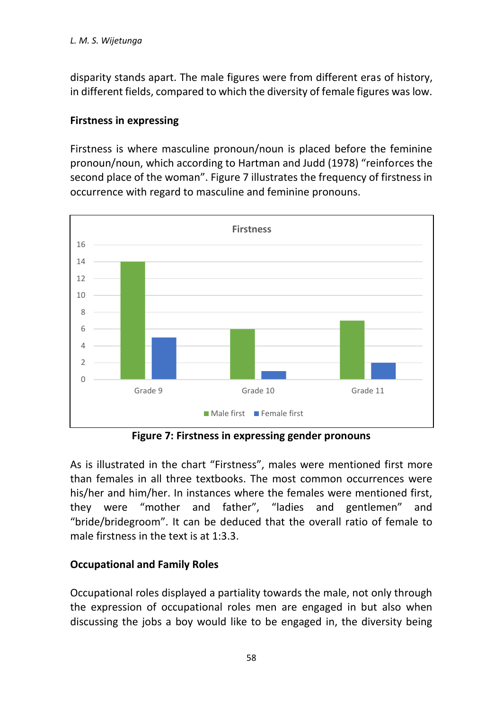disparity stands apart. The male figures were from different eras of history, in different fields, compared to which the diversity of female figures was low.

#### **Firstness in expressing**

Firstness is where masculine pronoun/noun is placed before the feminine pronoun/noun, which according to Hartman and Judd (1978) "reinforces the second place of the woman". Figure 7 illustrates the frequency of firstness in occurrence with regard to masculine and feminine pronouns.



**Figure 7: Firstness in expressing gender pronouns**

As is illustrated in the chart "Firstness", males were mentioned first more than females in all three textbooks. The most common occurrences were his/her and him/her. In instances where the females were mentioned first, they were "mother and father", "ladies and gentlemen" and "bride/bridegroom". It can be deduced that the overall ratio of female to male firstness in the text is at 1:3.3.

#### **Occupational and Family Roles**

Occupational roles displayed a partiality towards the male, not only through the expression of occupational roles men are engaged in but also when discussing the jobs a boy would like to be engaged in, the diversity being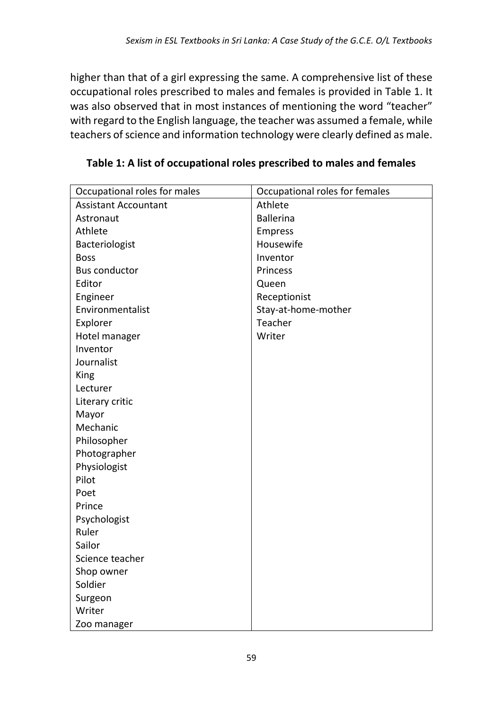higher than that of a girl expressing the same. A comprehensive list of these occupational roles prescribed to males and females is provided in Table 1. It was also observed that in most instances of mentioning the word "teacher" with regard to the English language, the teacher was assumed a female, while teachers of science and information technology were clearly defined as male.

| Occupational roles for males | Occupational roles for females |
|------------------------------|--------------------------------|
| <b>Assistant Accountant</b>  | Athlete                        |
| Astronaut                    | <b>Ballerina</b>               |
| Athlete                      | <b>Empress</b>                 |
| Bacteriologist               | Housewife                      |
| <b>Boss</b>                  | Inventor                       |
| <b>Bus conductor</b>         | Princess                       |
| Editor                       | Queen                          |
| Engineer                     | Receptionist                   |
| Environmentalist             | Stay-at-home-mother            |
| Explorer                     | Teacher                        |
| Hotel manager                | Writer                         |
| Inventor                     |                                |
| Journalist                   |                                |
| King                         |                                |
| Lecturer                     |                                |
| Literary critic              |                                |
| Mayor                        |                                |
| Mechanic                     |                                |
| Philosopher                  |                                |
| Photographer                 |                                |
| Physiologist                 |                                |
| Pilot                        |                                |
| Poet                         |                                |
| Prince                       |                                |
| Psychologist                 |                                |
| Ruler                        |                                |
| Sailor                       |                                |
| Science teacher              |                                |
| Shop owner                   |                                |
| Soldier                      |                                |
| Surgeon                      |                                |
| Writer                       |                                |
| Zoo manager                  |                                |

**Table 1: A list of occupational roles prescribed to males and females**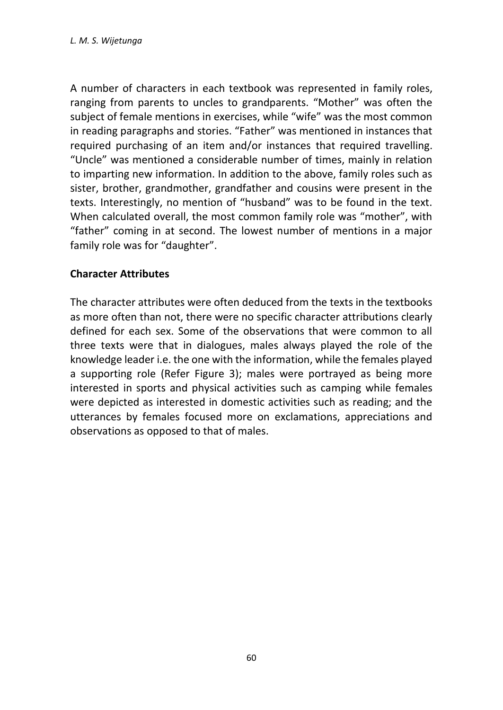A number of characters in each textbook was represented in family roles, ranging from parents to uncles to grandparents. "Mother" was often the subject of female mentions in exercises, while "wife" was the most common in reading paragraphs and stories. "Father" was mentioned in instances that required purchasing of an item and/or instances that required travelling. "Uncle" was mentioned a considerable number of times, mainly in relation to imparting new information. In addition to the above, family roles such as sister, brother, grandmother, grandfather and cousins were present in the texts. Interestingly, no mention of "husband" was to be found in the text. When calculated overall, the most common family role was "mother", with "father" coming in at second. The lowest number of mentions in a major family role was for "daughter".

#### **Character Attributes**

The character attributes were often deduced from the texts in the textbooks as more often than not, there were no specific character attributions clearly defined for each sex. Some of the observations that were common to all three texts were that in dialogues, males always played the role of the knowledge leader i.e. the one with the information, while the females played a supporting role (Refer Figure 3); males were portrayed as being more interested in sports and physical activities such as camping while females were depicted as interested in domestic activities such as reading; and the utterances by females focused more on exclamations, appreciations and observations as opposed to that of males.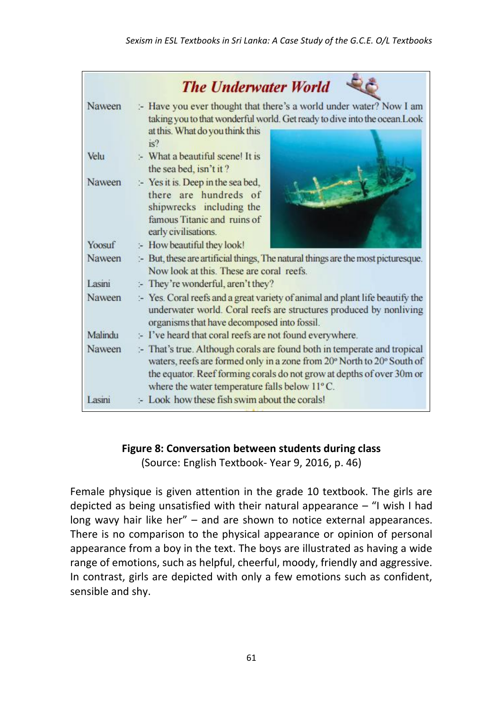|               | <b>The Underwater World</b>                                                                                                                                                                                                                                                  |
|---------------|------------------------------------------------------------------------------------------------------------------------------------------------------------------------------------------------------------------------------------------------------------------------------|
| Naween        | :- Have you ever thought that there's a world under water? Now I am<br>taking you to that wonderful world. Get ready to dive into the ocean. Look<br>at this. What do you think this<br>is?                                                                                  |
| Velu          | :- What a beautiful scene! It is<br>the sea bed, isn't it?                                                                                                                                                                                                                   |
| Naween        | :- Yes it is. Deep in the sea bed,<br>there are hundreds of<br>shipwrecks including the<br>famous Titanic and ruins of<br>early civilisations.                                                                                                                               |
| Yoosuf        | :- How beautiful they look!                                                                                                                                                                                                                                                  |
| Naween        | :- But, these are artificial things, The natural things are the most picturesque.<br>Now look at this. These are coral reefs.                                                                                                                                                |
| Lasini        | :- They're wonderful, aren't they?                                                                                                                                                                                                                                           |
| <b>Naween</b> | :- Yes. Coral reefs and a great variety of animal and plant life beautify the<br>underwater world. Coral reefs are structures produced by nonliving<br>organisms that have decomposed into fossil.                                                                           |
| Malindu       | :- I've heard that coral reefs are not found everywhere.                                                                                                                                                                                                                     |
| Naween        | :- That's true. Although corals are found both in temperate and tropical<br>waters, reefs are formed only in a zone from 20° North to 20° South of<br>the equator. Reef forming corals do not grow at depths of over 30m or<br>where the water temperature falls below 11°C. |
| Lasini        | :- Look how these fish swim about the corals!                                                                                                                                                                                                                                |

### **Figure 8: Conversation between students during class**

(Source: English Textbook- Year 9, 2016, p. 46)

Female physique is given attention in the grade 10 textbook. The girls are depicted as being unsatisfied with their natural appearance – "I wish I had long wavy hair like her" – and are shown to notice external appearances. There is no comparison to the physical appearance or opinion of personal appearance from a boy in the text. The boys are illustrated as having a wide range of emotions, such as helpful, cheerful, moody, friendly and aggressive. In contrast, girls are depicted with only a few emotions such as confident, sensible and shy.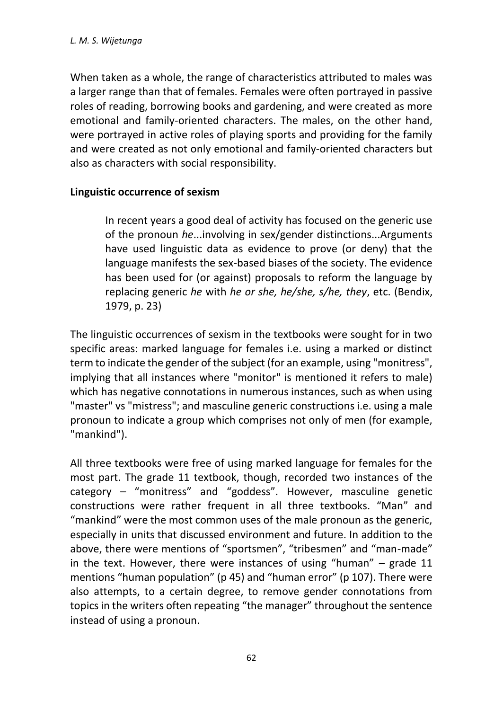When taken as a whole, the range of characteristics attributed to males was a larger range than that of females. Females were often portrayed in passive roles of reading, borrowing books and gardening, and were created as more emotional and family-oriented characters. The males, on the other hand, were portrayed in active roles of playing sports and providing for the family and were created as not only emotional and family-oriented characters but also as characters with social responsibility.

#### **Linguistic occurrence of sexism**

In recent years a good deal of activity has focused on the generic use of the pronoun *he*...involving in sex/gender distinctions...Arguments have used linguistic data as evidence to prove (or deny) that the language manifests the sex-based biases of the society. The evidence has been used for (or against) proposals to reform the language by replacing generic *he* with *he or she, he/she, s/he, they*, etc. (Bendix, 1979, p. 23)

The linguistic occurrences of sexism in the textbooks were sought for in two specific areas: marked language for females i.e. using a marked or distinct term to indicate the gender of the subject (for an example, using "monitress", implying that all instances where "monitor" is mentioned it refers to male) which has negative connotations in numerous instances, such as when using "master" vs "mistress"; and masculine generic constructions i.e. using a male pronoun to indicate a group which comprises not only of men (for example, "mankind").

All three textbooks were free of using marked language for females for the most part. The grade 11 textbook, though, recorded two instances of the category – "monitress" and "goddess". However, masculine genetic constructions were rather frequent in all three textbooks. "Man" and "mankind" were the most common uses of the male pronoun as the generic, especially in units that discussed environment and future. In addition to the above, there were mentions of "sportsmen", "tribesmen" and "man-made" in the text. However, there were instances of using "human" – grade 11 mentions "human population" (p 45) and "human error" (p 107). There were also attempts, to a certain degree, to remove gender connotations from topics in the writers often repeating "the manager" throughout the sentence instead of using a pronoun.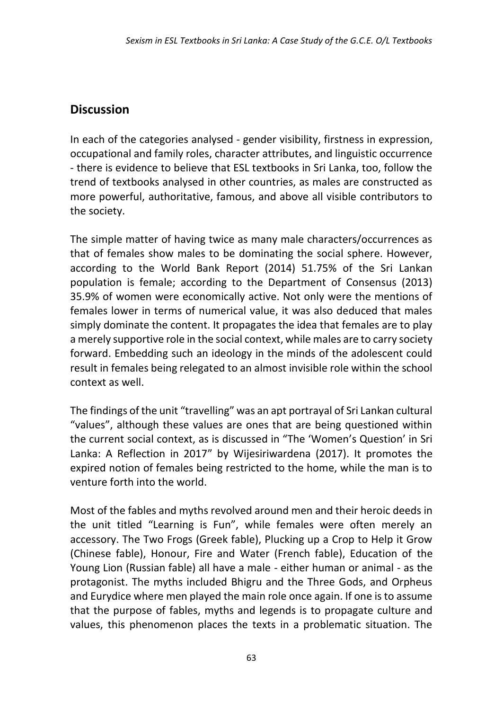## **Discussion**

In each of the categories analysed - gender visibility, firstness in expression, occupational and family roles, character attributes, and linguistic occurrence - there is evidence to believe that ESL textbooks in Sri Lanka, too, follow the trend of textbooks analysed in other countries, as males are constructed as more powerful, authoritative, famous, and above all visible contributors to the society.

The simple matter of having twice as many male characters/occurrences as that of females show males to be dominating the social sphere. However, according to the World Bank Report (2014) 51.75% of the Sri Lankan population is female; according to the Department of Consensus (2013) 35.9% of women were economically active. Not only were the mentions of females lower in terms of numerical value, it was also deduced that males simply dominate the content. It propagates the idea that females are to play a merely supportive role in the social context, while males are to carry society forward. Embedding such an ideology in the minds of the adolescent could result in females being relegated to an almost invisible role within the school context as well.

The findings of the unit "travelling" was an apt portrayal of Sri Lankan cultural "values", although these values are ones that are being questioned within the current social context, as is discussed in "The 'Women's Question' in Sri Lanka: A Reflection in 2017" by Wijesiriwardena (2017). It promotes the expired notion of females being restricted to the home, while the man is to venture forth into the world.

Most of the fables and myths revolved around men and their heroic deeds in the unit titled "Learning is Fun", while females were often merely an accessory. The Two Frogs (Greek fable), Plucking up a Crop to Help it Grow (Chinese fable), Honour, Fire and Water (French fable), Education of the Young Lion (Russian fable) all have a male - either human or animal - as the protagonist. The myths included Bhigru and the Three Gods, and Orpheus and Eurydice where men played the main role once again. If one is to assume that the purpose of fables, myths and legends is to propagate culture and values, this phenomenon places the texts in a problematic situation. The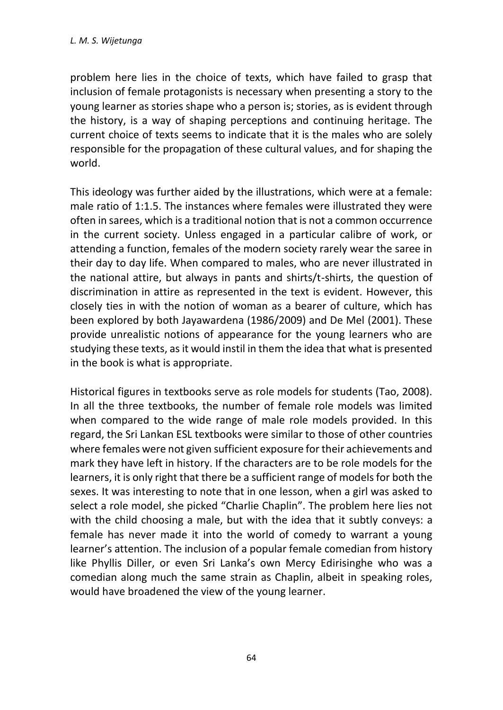problem here lies in the choice of texts, which have failed to grasp that inclusion of female protagonists is necessary when presenting a story to the young learner as stories shape who a person is; stories, as is evident through the history, is a way of shaping perceptions and continuing heritage. The current choice of texts seems to indicate that it is the males who are solely responsible for the propagation of these cultural values, and for shaping the world.

This ideology was further aided by the illustrations, which were at a female: male ratio of 1:1.5. The instances where females were illustrated they were often in sarees, which is a traditional notion that is not a common occurrence in the current society. Unless engaged in a particular calibre of work, or attending a function, females of the modern society rarely wear the saree in their day to day life. When compared to males, who are never illustrated in the national attire, but always in pants and shirts/t-shirts, the question of discrimination in attire as represented in the text is evident. However, this closely ties in with the notion of woman as a bearer of culture, which has been explored by both Jayawardena (1986/2009) and De Mel (2001). These provide unrealistic notions of appearance for the young learners who are studying these texts, as it would instil in them the idea that what is presented in the book is what is appropriate.

Historical figures in textbooks serve as role models for students (Tao, 2008). In all the three textbooks, the number of female role models was limited when compared to the wide range of male role models provided. In this regard, the Sri Lankan ESL textbooks were similar to those of other countries where females were not given sufficient exposure for their achievements and mark they have left in history. If the characters are to be role models for the learners, it is only right that there be a sufficient range of models for both the sexes. It was interesting to note that in one lesson, when a girl was asked to select a role model, she picked "Charlie Chaplin". The problem here lies not with the child choosing a male, but with the idea that it subtly conveys: a female has never made it into the world of comedy to warrant a young learner's attention. The inclusion of a popular female comedian from history like Phyllis Diller, or even Sri Lanka's own Mercy Edirisinghe who was a comedian along much the same strain as Chaplin, albeit in speaking roles, would have broadened the view of the young learner.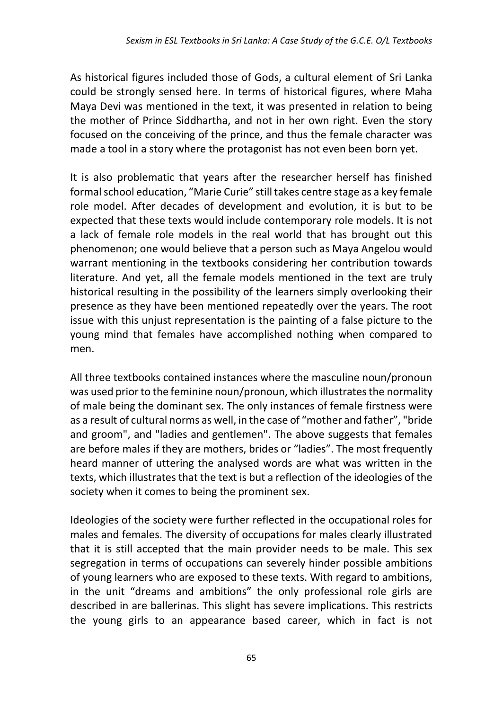As historical figures included those of Gods, a cultural element of Sri Lanka could be strongly sensed here. In terms of historical figures, where Maha Maya Devi was mentioned in the text, it was presented in relation to being the mother of Prince Siddhartha, and not in her own right. Even the story focused on the conceiving of the prince, and thus the female character was made a tool in a story where the protagonist has not even been born yet.

It is also problematic that years after the researcher herself has finished formal school education, "Marie Curie" still takes centre stage as a key female role model. After decades of development and evolution, it is but to be expected that these texts would include contemporary role models. It is not a lack of female role models in the real world that has brought out this phenomenon; one would believe that a person such as Maya Angelou would warrant mentioning in the textbooks considering her contribution towards literature. And yet, all the female models mentioned in the text are truly historical resulting in the possibility of the learners simply overlooking their presence as they have been mentioned repeatedly over the years. The root issue with this unjust representation is the painting of a false picture to the young mind that females have accomplished nothing when compared to men.

All three textbooks contained instances where the masculine noun/pronoun was used prior to the feminine noun/pronoun, which illustrates the normality of male being the dominant sex. The only instances of female firstness were as a result of cultural norms as well, in the case of "mother and father", "bride and groom", and "ladies and gentlemen". The above suggests that females are before males if they are mothers, brides or "ladies". The most frequently heard manner of uttering the analysed words are what was written in the texts, which illustrates that the text is but a reflection of the ideologies of the society when it comes to being the prominent sex.

Ideologies of the society were further reflected in the occupational roles for males and females. The diversity of occupations for males clearly illustrated that it is still accepted that the main provider needs to be male. This sex segregation in terms of occupations can severely hinder possible ambitions of young learners who are exposed to these texts. With regard to ambitions, in the unit "dreams and ambitions" the only professional role girls are described in are ballerinas. This slight has severe implications. This restricts the young girls to an appearance based career, which in fact is not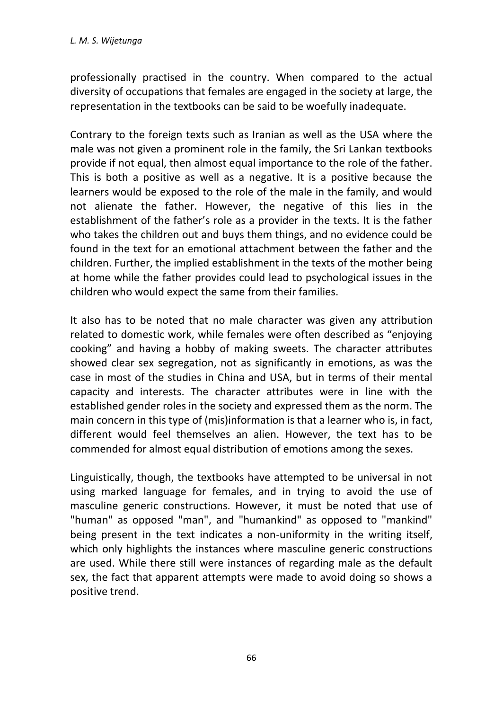professionally practised in the country. When compared to the actual diversity of occupations that females are engaged in the society at large, the representation in the textbooks can be said to be woefully inadequate.

Contrary to the foreign texts such as Iranian as well as the USA where the male was not given a prominent role in the family, the Sri Lankan textbooks provide if not equal, then almost equal importance to the role of the father. This is both a positive as well as a negative. It is a positive because the learners would be exposed to the role of the male in the family, and would not alienate the father. However, the negative of this lies in the establishment of the father's role as a provider in the texts. It is the father who takes the children out and buys them things, and no evidence could be found in the text for an emotional attachment between the father and the children. Further, the implied establishment in the texts of the mother being at home while the father provides could lead to psychological issues in the children who would expect the same from their families.

It also has to be noted that no male character was given any attribution related to domestic work, while females were often described as "enjoying cooking" and having a hobby of making sweets. The character attributes showed clear sex segregation, not as significantly in emotions, as was the case in most of the studies in China and USA, but in terms of their mental capacity and interests. The character attributes were in line with the established gender roles in the society and expressed them as the norm. The main concern in this type of (mis)information is that a learner who is, in fact, different would feel themselves an alien. However, the text has to be commended for almost equal distribution of emotions among the sexes.

Linguistically, though, the textbooks have attempted to be universal in not using marked language for females, and in trying to avoid the use of masculine generic constructions. However, it must be noted that use of "human" as opposed "man", and "humankind" as opposed to "mankind" being present in the text indicates a non-uniformity in the writing itself, which only highlights the instances where masculine generic constructions are used. While there still were instances of regarding male as the default sex, the fact that apparent attempts were made to avoid doing so shows a positive trend.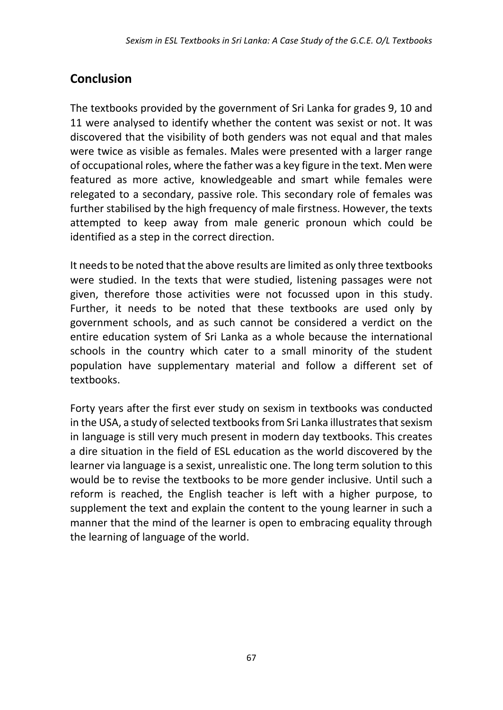# **Conclusion**

The textbooks provided by the government of Sri Lanka for grades 9, 10 and 11 were analysed to identify whether the content was sexist or not. It was discovered that the visibility of both genders was not equal and that males were twice as visible as females. Males were presented with a larger range of occupational roles, where the father was a key figure in the text. Men were featured as more active, knowledgeable and smart while females were relegated to a secondary, passive role. This secondary role of females was further stabilised by the high frequency of male firstness. However, the texts attempted to keep away from male generic pronoun which could be identified as a step in the correct direction.

It needs to be noted that the above results are limited as only three textbooks were studied. In the texts that were studied, listening passages were not given, therefore those activities were not focussed upon in this study. Further, it needs to be noted that these textbooks are used only by government schools, and as such cannot be considered a verdict on the entire education system of Sri Lanka as a whole because the international schools in the country which cater to a small minority of the student population have supplementary material and follow a different set of textbooks.

Forty years after the first ever study on sexism in textbooks was conducted in the USA, a study of selected textbooks from Sri Lanka illustrates that sexism in language is still very much present in modern day textbooks. This creates a dire situation in the field of ESL education as the world discovered by the learner via language is a sexist, unrealistic one. The long term solution to this would be to revise the textbooks to be more gender inclusive. Until such a reform is reached, the English teacher is left with a higher purpose, to supplement the text and explain the content to the young learner in such a manner that the mind of the learner is open to embracing equality through the learning of language of the world.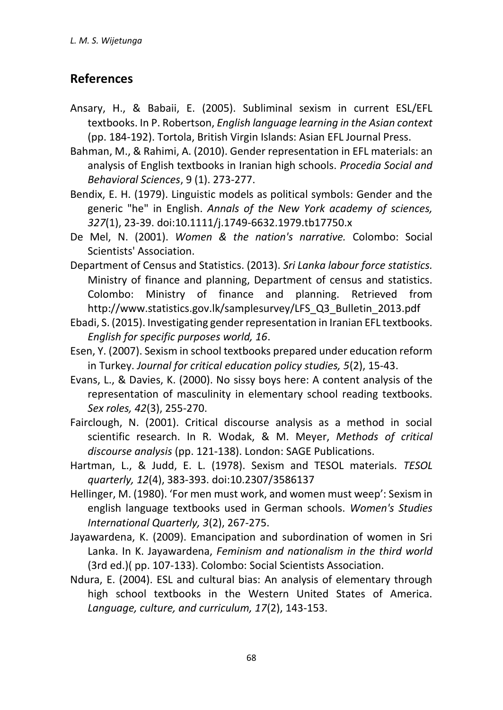## **References**

- Ansary, H., & Babaii, E. (2005). Subliminal sexism in current ESL/EFL textbooks. In P. Robertson, *English language learning in the Asian context*  (pp. 184-192). Tortola, British Virgin Islands: Asian EFL Journal Press.
- Bahman, M., & Rahimi, A. (2010). Gender representation in EFL materials: an analysis of English textbooks in Iranian high schools. *Procedia Social and Behavioral Sciences*, 9 (1). 273-277.
- Bendix, E. H. (1979). Linguistic models as political symbols: Gender and the generic "he" in English. *Annals of the New York academy of sciences, 327*(1), 23-39. doi:10.1111/j.1749-6632.1979.tb17750.x
- De Mel, N. (2001). *Women & the nation's narrative.* Colombo: Social Scientists' Association.
- Department of Census and Statistics. (2013). *Sri Lanka labour force statistics.* Ministry of finance and planning, Department of census and statistics. Colombo: Ministry of finance and planning. Retrieved from http://www.statistics.gov.lk/samplesurvey/LFS\_Q3\_Bulletin\_2013.pdf
- Ebadi, S. (2015). Investigating gender representation in Iranian EFL textbooks. *English for specific purposes world, 16*.
- Esen, Y. (2007). Sexism in school textbooks prepared under education reform in Turkey. *Journal for critical education policy studies, 5*(2), 15-43.
- Evans, L., & Davies, K. (2000). No sissy boys here: A content analysis of the representation of masculinity in elementary school reading textbooks. *Sex roles, 42*(3), 255-270.
- Fairclough, N. (2001). Critical discourse analysis as a method in social scientific research. In R. Wodak, & M. Meyer, *Methods of critical discourse analysis* (pp. 121-138). London: SAGE Publications.
- Hartman, L., & Judd, E. L. (1978). Sexism and TESOL materials. *TESOL quarterly, 12*(4), 383-393. doi:10.2307/3586137
- Hellinger, M. (1980). 'For men must work, and women must weep': Sexism in english language textbooks used in German schools. *Women's Studies International Quarterly, 3*(2), 267-275.
- Jayawardena, K. (2009). Emancipation and subordination of women in Sri Lanka. In K. Jayawardena, *Feminism and nationalism in the third world* (3rd ed.)( pp. 107-133). Colombo: Social Scientists Association.
- Ndura, E. (2004). ESL and cultural bias: An analysis of elementary through high school textbooks in the Western United States of America. *Language, culture, and curriculum, 17*(2), 143-153.